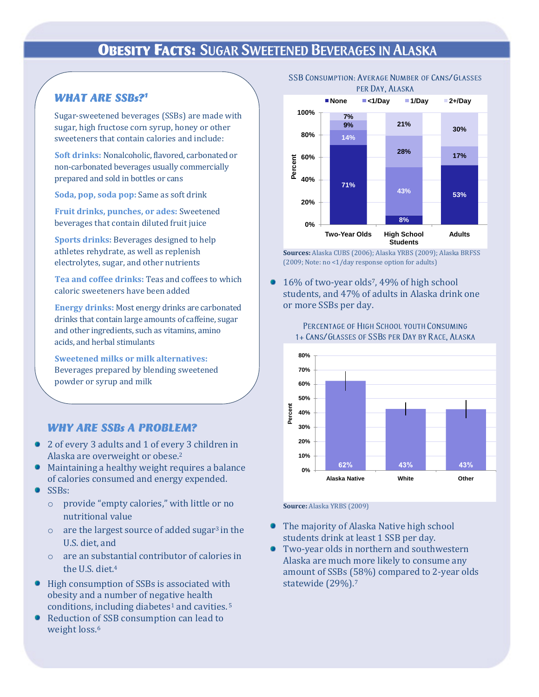## **OBESITY FACTS: SUGAR SWEETENED BEVERAGES IN ALASKA**

### **WHAT ARE SSBs?1**

Sugar-sweetened beverages (SSBs) are made with sugar, high fructose corn syrup, honey or other sweeteners that contain calories and include:

**Soft drinks:** Nonalcoholic, flavored, carbonated or non-carbonated beverages usually commercially prepared and sold in bottles or cans

**Soda, pop, soda pop:** Same as soft drink

**Fruit drinks, punches, or ades:** Sweetened beverages that contain diluted fruit juice

**Sports drinks:** Beverages designed to help athletes rehydrate, as well as replenish electrolytes, sugar, and other nutrients

**Tea and coffee drinks:** Teas and coffees to which caloric sweeteners have been added

**Energy drinks:** Most energy drinks are carbonated drinks that contain large amounts of caffeine, sugar and other ingredients, such as vitamins, amino acids, and herbal stimulants

**Sweetened milks or milk alternatives:** Beverages prepared by blending sweetened powder or syrup and milk

### **WHY ARE SSBs A PROBLEM?**

- 2 of every 3 adults and 1 of every 3 children in Alaska are overweight or obese.<sup>2</sup>
- Maintaining a healthy weight requires a balance of calories consumed and energy expended.
- SSBs:
	- o provide "empty calories," with little or no nutritional value
	- $\circ$  are the largest source of added sugar<sup>3</sup> in the U.S. diet, and
	- o are an substantial contributor of calories in the U.S. diet.<sup>4</sup>
- High consumption of SSBs is associated with obesity and a number of negative health conditions, including diabetes<sup>1</sup> and cavities.<sup>5</sup>
- Reduction of SSB consumption can lead to weight loss.<sup>6</sup>





**Sources:** Alaska CUBS (2006); Alaska YRBS (2009); Alaska BRFSS (2009; Note: no <1/day response option for adults)

16% of two-year olds7, 49% of high school students, and 47% of adults in Alaska drink one or more SSBs per day.



PERCENTAGE OF HIGH SCHOOL YOUTH CONSUMING 1+ CANS/GLASSES OF SSBS PER DAY BY RACE, ALASKA

#### **Source:** Alaska YRBS (2009)

- The majority of Alaska Native high school ۰ students drink at least 1 SSB per day.
- Two-year olds in northern and southwestern Alaska are much more likely to consume any amount of SSBs (58%) compared to 2-year olds statewide (29%).7